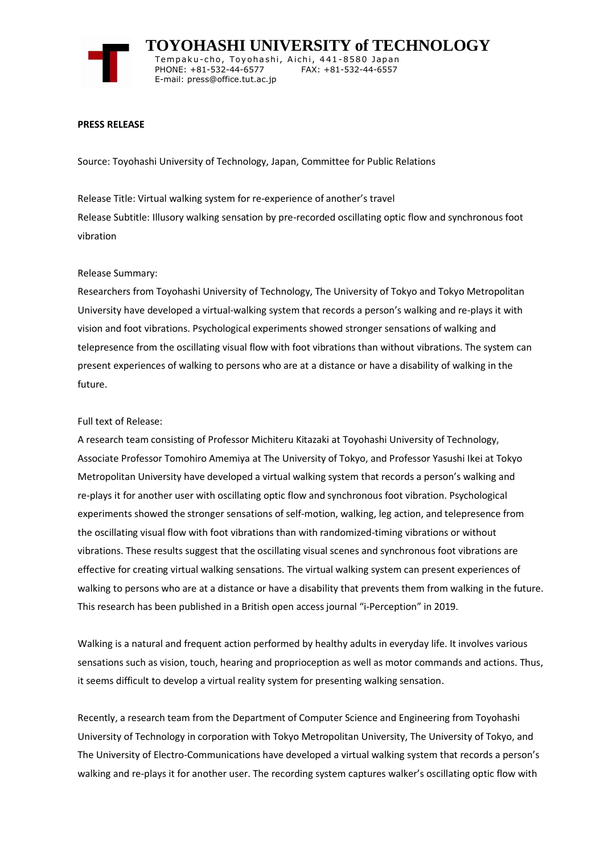

 **TOYOHASHI UNIVERSITY of TECHNOLOGY** Tempaku-cho, Toyohashi, Aichi, 441-8580 Japan<br>PHONE: +81-532-44-6577 FAX: +81-532-44-6557 PHONE: +81-532-44-6577

### **PRESS RELEASE**

Source: Toyohashi University of Technology, Japan, Committee for Public Relations

E-mail: press@office.tut.ac.jp

Release Title: Virtual walking system for re-experience of another's travel Release Subtitle: Illusory walking sensation by pre-recorded oscillating optic flow and synchronous foot vibration

### Release Summary:

Researchers from Toyohashi University of Technology, The University of Tokyo and Tokyo Metropolitan University have developed a virtual-walking system that records a person's walking and re-plays it with vision and foot vibrations. Psychological experiments showed stronger sensations of walking and telepresence from the oscillating visual flow with foot vibrations than without vibrations. The system can present experiences of walking to persons who are at a distance or have a disability of walking in the future.

### Full text of Release:

A research team consisting of Professor Michiteru Kitazaki at Toyohashi University of Technology, Associate Professor Tomohiro Amemiya at The University of Tokyo, and Professor Yasushi Ikei at Tokyo Metropolitan University have developed a virtual walking system that records a person's walking and re-plays it for another user with oscillating optic flow and synchronous foot vibration. Psychological experiments showed the stronger sensations of self-motion, walking, leg action, and telepresence from the oscillating visual flow with foot vibrations than with randomized-timing vibrations or without vibrations. These results suggest that the oscillating visual scenes and synchronous foot vibrations are effective for creating virtual walking sensations. The virtual walking system can present experiences of walking to persons who are at a distance or have a disability that prevents them from walking in the future. This research has been published in a British open access journal "i-Perception" in 2019.

Walking is a natural and frequent action performed by healthy adults in everyday life. It involves various sensations such as vision, touch, hearing and proprioception as well as motor commands and actions. Thus, it seems difficult to develop a virtual reality system for presenting walking sensation.

Recently, a research team from the Department of Computer Science and Engineering from Toyohashi University of Technology in corporation with Tokyo Metropolitan University, The University of Tokyo, and The University of Electro-Communications have developed a virtual walking system that records a person's walking and re-plays it for another user. The recording system captures walker's oscillating optic flow with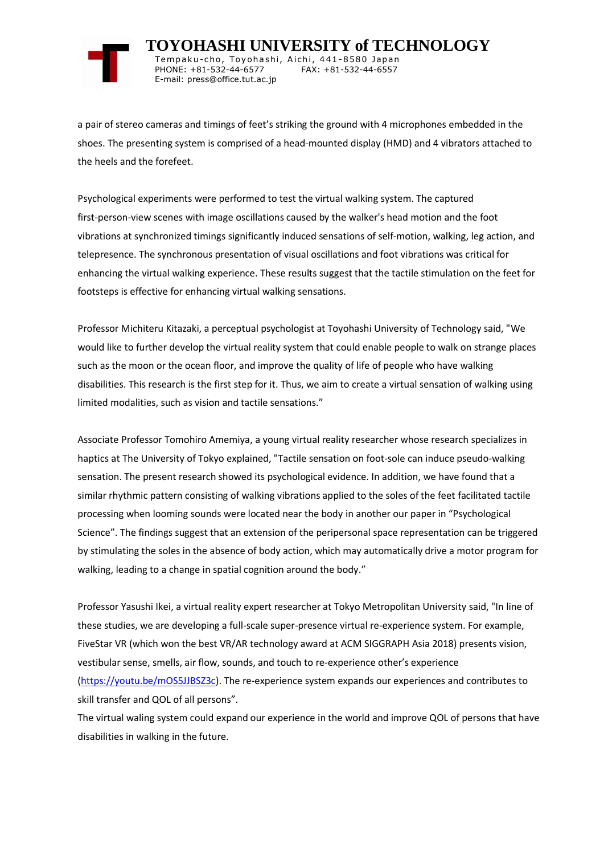

 **TOYOHASHI UNIVERSITY of TECHNOLOGY** Tempaku-cho, Toyohashi, Aichi, 441-8580 Japan<br>PHONE: +81-532-44-6577 FAX: +81-532-44-6557 PHONE: +81-532-44-6577 E-mail: press@office.tut.ac.jp

a pair of stereo cameras and timings of feet's striking the ground with 4 microphones embedded in the shoes. The presenting system is comprised of a head-mounted display (HMD) and 4 vibrators attached to the heels and the forefeet.

Psychological experiments were performed to test the virtual walking system. The captured first-person-view scenes with image oscillations caused by the walker's head motion and the foot vibrations at synchronized timings significantly induced sensations of self-motion, walking, leg action, and telepresence. The synchronous presentation of visual oscillations and foot vibrations was critical for enhancing the virtual walking experience. These results suggest that the tactile stimulation on the feet for footsteps is effective for enhancing virtual walking sensations.

Professor Michiteru Kitazaki, a perceptual psychologist at Toyohashi University of Technology said, "We would like to further develop the virtual reality system that could enable people to walk on strange places such as the moon or the ocean floor, and improve the quality of life of people who have walking disabilities. This research is the first step for it. Thus, we aim to create a virtual sensation of walking using limited modalities, such as vision and tactile sensations."

Associate Professor Tomohiro Amemiya, a young virtual reality researcher whose research specializes in haptics at The University of Tokyo explained, "Tactile sensation on foot-sole can induce pseudo-walking sensation. The present research showed its psychological evidence. In addition, we have found that a similar rhythmic pattern consisting of walking vibrations applied to the soles of the feet facilitated tactile processing when looming sounds were located near the body in another our paper in "Psychological Science". The findings suggest that an extension of the peripersonal space representation can be triggered by stimulating the soles in the absence of body action, which may automatically drive a motor program for walking, leading to a change in spatial cognition around the body."

Professor Yasushi Ikei, a virtual reality expert researcher at Tokyo Metropolitan University said, "In line of these studies, we are developing a full-scale super-presence virtual re-experience system. For example, FiveStar VR (which won the best VR/AR technology award at ACM SIGGRAPH Asia 2018) presents vision, vestibular sense, smells, air flow, sounds, and touch to re-experience other's experience [\(https://youtu.be/mOS5JJBSZ3c\)](https://youtu.be/mOS5JJBSZ3c). The re-experience system expands our experiences and contributes to skill transfer and QOL of all persons".

The virtual waling system could expand our experience in the world and improve QOL of persons that have disabilities in walking in the future.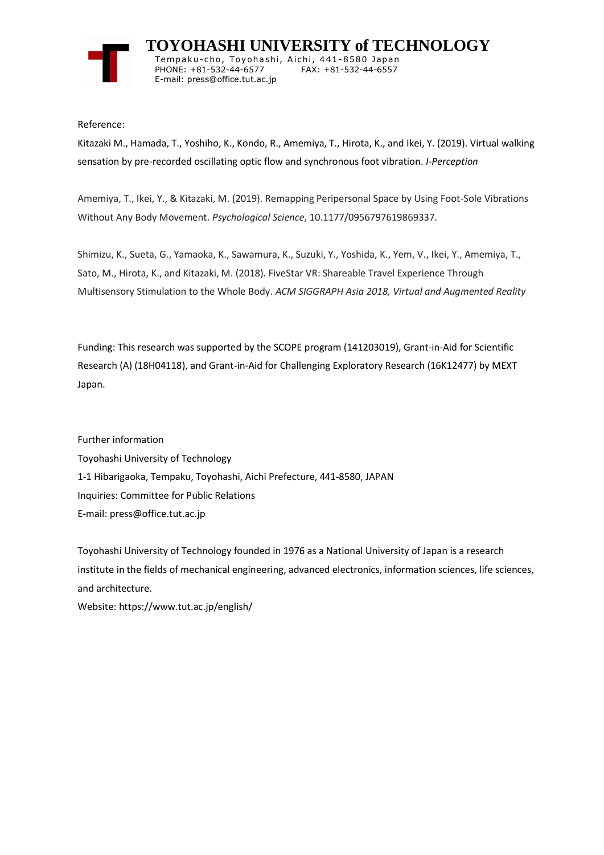

 **TOYOHASHI UNIVERSITY of TECHNOLOGY** Tempaku-cho, Toyohashi, Aichi, 441-8580 Japan<br>PHONE: +81-532-44-6577 FAX: +81-532-44-6557 PHONE: +81-532-44-6577 E-mail: press@office.tut.ac.jp

Reference:

Kitazaki M., Hamada, T., Yoshiho, K., Kondo, R., Amemiya, T., Hirota, K., and Ikei, Y. (2019). Virtual walking sensation by pre-recorded oscillating optic flow and synchronous foot vibration. *I-Perception*

Amemiya, T., Ikei, Y., & Kitazaki, M. (2019). Remapping Peripersonal Space by Using Foot-Sole Vibrations Without Any Body Movement. *Psychological Science*, 10.1177/0956797619869337.

Shimizu, K., Sueta, G., Yamaoka, K., Sawamura, K., Suzuki, Y., Yoshida, K., Yem, V., Ikei, Y., Amemiya, T., Sato, M., Hirota, K., and Kitazaki, M. (2018). FiveStar VR: Shareable Travel Experience Through Multisensory Stimulation to the Whole Body. *ACM SIGGRAPH Asia 2018, Virtual and Augmented Reality*

Funding: This research was supported by the SCOPE program (141203019), Grant-in-Aid for Scientific Research (A) (18H04118), and Grant-in-Aid for Challenging Exploratory Research (16K12477) by MEXT Japan.

Further information Toyohashi University of Technology 1-1 Hibarigaoka, Tempaku, Toyohashi, Aichi Prefecture, 441-8580, JAPAN Inquiries: Committee for Public Relations E-mail: press@office.tut.ac.jp

Toyohashi University of Technology founded in 1976 as a National University of Japan is a research institute in the fields of mechanical engineering, advanced electronics, information sciences, life sciences, and architecture.

Website: https://www.tut.ac.jp/english/